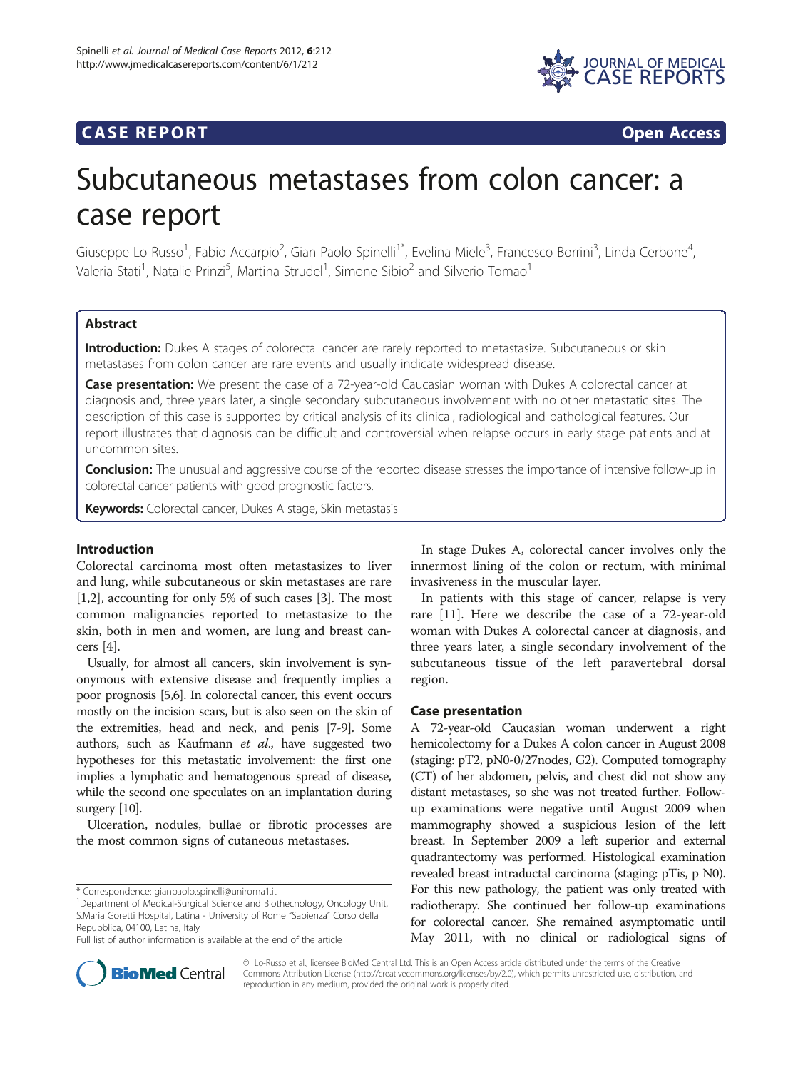

# **CASE REPORT CASE REPORT**

# Subcutaneous metastases from colon cancer: a case report

Giuseppe Lo Russo<sup>1</sup>, Fabio Accarpio<sup>2</sup>, Gian Paolo Spinelli<sup>1\*</sup>, Evelina Miele<sup>3</sup>, Francesco Borrini<sup>3</sup>, Linda Cerbone<sup>4</sup> , Valeria Stati<sup>1</sup>, Natalie Prinzi<sup>5</sup>, Martina Strudel<sup>1</sup>, Simone Sibio<sup>2</sup> and Silverio Tomao<sup>1</sup>

# **Abstract**

Introduction: Dukes A stages of colorectal cancer are rarely reported to metastasize. Subcutaneous or skin metastases from colon cancer are rare events and usually indicate widespread disease.

Case presentation: We present the case of a 72-year-old Caucasian woman with Dukes A colorectal cancer at diagnosis and, three years later, a single secondary subcutaneous involvement with no other metastatic sites. The description of this case is supported by critical analysis of its clinical, radiological and pathological features. Our report illustrates that diagnosis can be difficult and controversial when relapse occurs in early stage patients and at uncommon sites.

**Conclusion:** The unusual and aggressive course of the reported disease stresses the importance of intensive follow-up in colorectal cancer patients with good prognostic factors.

Keywords: Colorectal cancer, Dukes A stage, Skin metastasis

# Introduction

Colorectal carcinoma most often metastasizes to liver and lung, while subcutaneous or skin metastases are rare [[1,2\]](#page-2-0), accounting for only 5% of such cases [[3\]](#page-3-0). The most common malignancies reported to metastasize to the skin, both in men and women, are lung and breast cancers [\[4\]](#page-3-0).

Usually, for almost all cancers, skin involvement is synonymous with extensive disease and frequently implies a poor prognosis [\[5,6](#page-3-0)]. In colorectal cancer, this event occurs mostly on the incision scars, but is also seen on the skin of the extremities, head and neck, and penis [\[7-9\]](#page-3-0). Some authors, such as Kaufmann et al., have suggested two hypotheses for this metastatic involvement: the first one implies a lymphatic and hematogenous spread of disease, while the second one speculates on an implantation during surgery [\[10](#page-3-0)].

Ulceration, nodules, bullae or fibrotic processes are the most common signs of cutaneous metastases.



In patients with this stage of cancer, relapse is very rare [\[11\]](#page-3-0). Here we describe the case of a 72-year-old woman with Dukes A colorectal cancer at diagnosis, and three years later, a single secondary involvement of the subcutaneous tissue of the left paravertebral dorsal region.

## Case presentation

A 72-year-old Caucasian woman underwent a right hemicolectomy for a Dukes A colon cancer in August 2008 (staging: pT2, pN0-0/27nodes, G2). Computed tomography (CT) of her abdomen, pelvis, and chest did not show any distant metastases, so she was not treated further. Followup examinations were negative until August 2009 when mammography showed a suspicious lesion of the left breast. In September 2009 a left superior and external quadrantectomy was performed. Histological examination revealed breast intraductal carcinoma (staging: pTis, p N0). For this new pathology, the patient was only treated with radiotherapy. She continued her follow-up examinations for colorectal cancer. She remained asymptomatic until May 2011, with no clinical or radiological signs of



© Lo-Russo et al.; licensee BioMed Central Ltd. This is an Open Access article distributed under the terms of the Creative Commons Attribution License [\(http://creativecommons.org/licenses/by/2.0\)](http://creativecommons.org/licenses/by/2.0), which permits unrestricted use, distribution, and reproduction in any medium, provided the original work is properly cited.

<sup>\*</sup> Correspondence: [gianpaolo.spinelli@uniroma1.it](mailto:gianpaolo.spinelli@uniroma1.it) <sup>1</sup>

Department of Medical-Surgical Science and Biothecnology, Oncology Unit, S.Maria Goretti Hospital, Latina - University of Rome "Sapienza" Corso della Repubblica, 04100, Latina, Italy

Full list of author information is available at the end of the article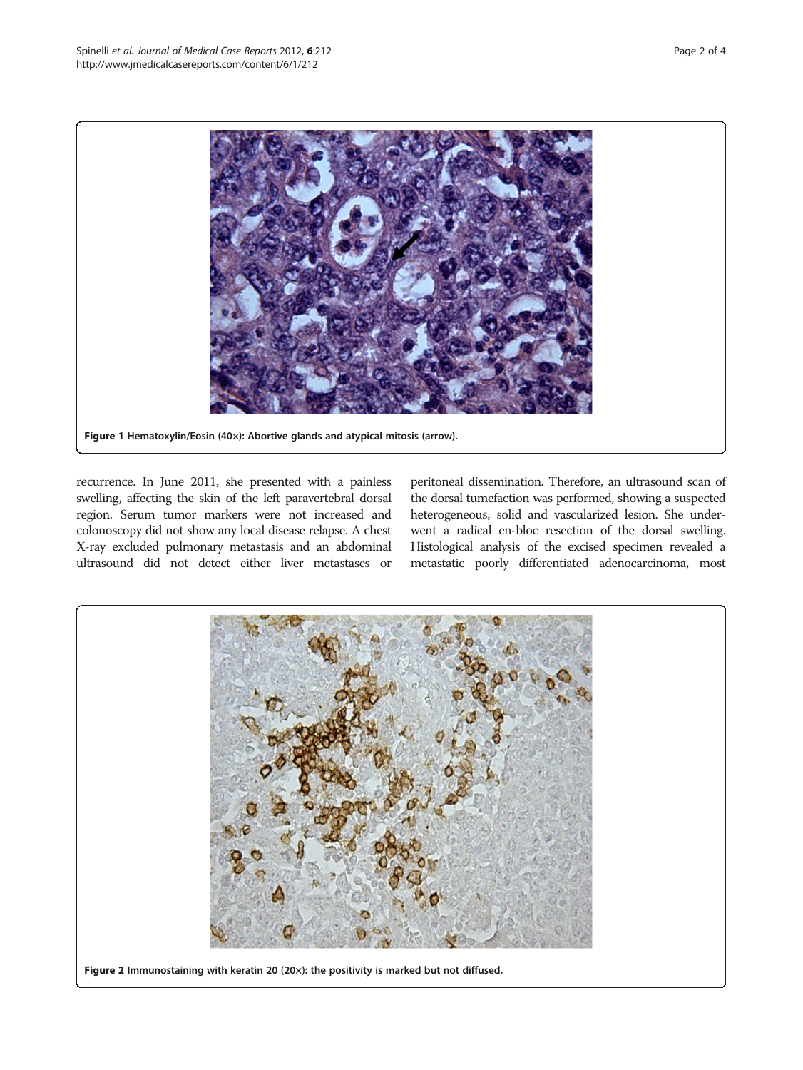<span id="page-1-0"></span>

recurrence. In June 2011, she presented with a painless swelling, affecting the skin of the left paravertebral dorsal region. Serum tumor markers were not increased and colonoscopy did not show any local disease relapse. A chest X-ray excluded pulmonary metastasis and an abdominal ultrasound did not detect either liver metastases or

peritoneal dissemination. Therefore, an ultrasound scan of the dorsal tumefaction was performed, showing a suspected heterogeneous, solid and vascularized lesion. She underwent a radical en-bloc resection of the dorsal swelling. Histological analysis of the excised specimen revealed a metastatic poorly differentiated adenocarcinoma, most

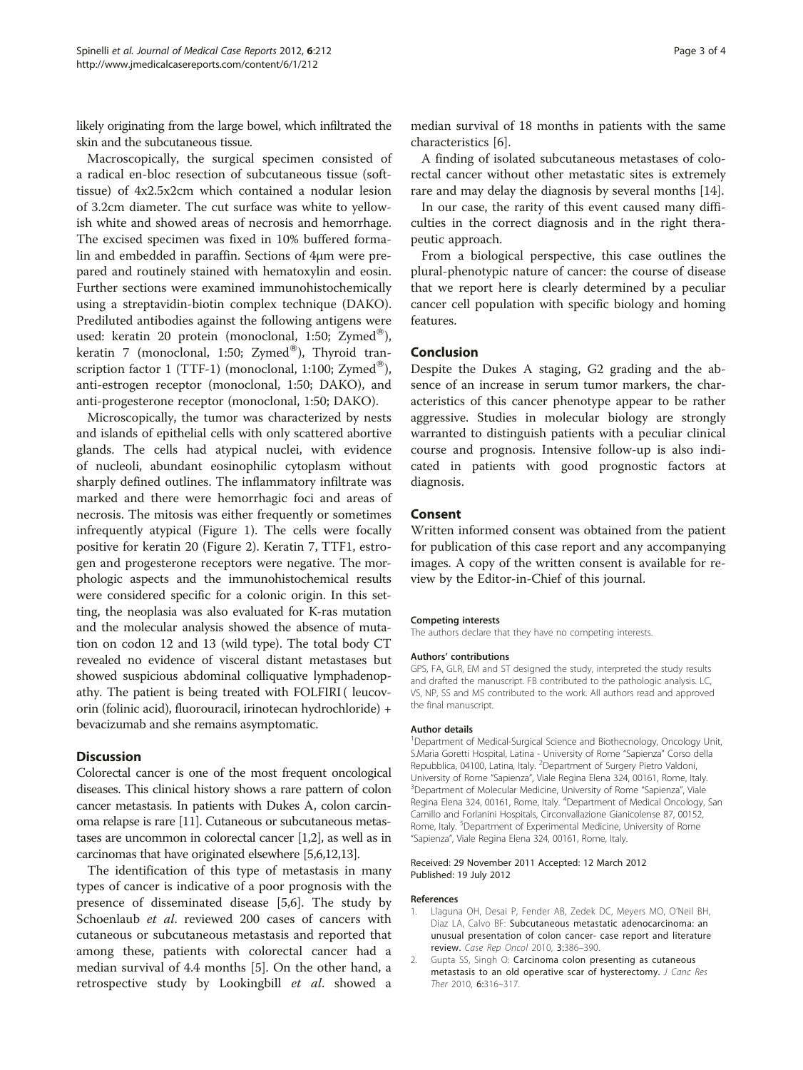<span id="page-2-0"></span>likely originating from the large bowel, which infiltrated the skin and the subcutaneous tissue.

Macroscopically, the surgical specimen consisted of a radical en-bloc resection of subcutaneous tissue (softtissue) of 4x2.5x2cm which contained a nodular lesion of 3.2cm diameter. The cut surface was white to yellowish white and showed areas of necrosis and hemorrhage. The excised specimen was fixed in 10% buffered formalin and embedded in paraffin. Sections of 4μm were prepared and routinely stained with hematoxylin and eosin. Further sections were examined immunohistochemically using a streptavidin-biotin complex technique (DAKO). Prediluted antibodies against the following antigens were used: keratin 20 protein (monoclonal, 1:50; Zymed®), keratin 7 (monoclonal, 1:50; Zymed®), Thyroid transcription factor 1 (TTF-1) (monoclonal, 1:100; Zymed<sup>®</sup>), anti-estrogen receptor (monoclonal, 1:50; DAKO), and anti-progesterone receptor (monoclonal, 1:50; DAKO).

Microscopically, the tumor was characterized by nests and islands of epithelial cells with only scattered abortive glands. The cells had atypical nuclei, with evidence of nucleoli, abundant eosinophilic cytoplasm without sharply defined outlines. The inflammatory infiltrate was marked and there were hemorrhagic foci and areas of necrosis. The mitosis was either frequently or sometimes infrequently atypical (Figure [1\)](#page-1-0). The cells were focally positive for keratin 20 (Figure [2](#page-1-0)). Keratin 7, TTF1, estrogen and progesterone receptors were negative. The morphologic aspects and the immunohistochemical results were considered specific for a colonic origin. In this setting, the neoplasia was also evaluated for K-ras mutation and the molecular analysis showed the absence of mutation on codon 12 and 13 (wild type). The total body CT revealed no evidence of visceral distant metastases but showed suspicious abdominal colliquative lymphadenopathy. The patient is being treated with FOLFIRI ( leucovorin (folinic acid), fluorouracil, irinotecan hydrochloride) + bevacizumab and she remains asymptomatic.

# **Discussion**

Colorectal cancer is one of the most frequent oncological diseases. This clinical history shows a rare pattern of colon cancer metastasis. In patients with Dukes A, colon carcinoma relapse is rare [[11](#page-3-0)]. Cutaneous or subcutaneous metastases are uncommon in colorectal cancer [1,2], as well as in carcinomas that have originated elsewhere [\[5,6,12,13](#page-3-0)].

The identification of this type of metastasis in many types of cancer is indicative of a poor prognosis with the presence of disseminated disease [\[5,6](#page-3-0)]. The study by Schoenlaub et al. reviewed 200 cases of cancers with cutaneous or subcutaneous metastasis and reported that among these, patients with colorectal cancer had a median survival of 4.4 months [\[5](#page-3-0)]. On the other hand, a retrospective study by Lookingbill et al. showed a

A finding of isolated subcutaneous metastases of colorectal cancer without other metastatic sites is extremely rare and may delay the diagnosis by several months [\[14\]](#page-3-0).

In our case, the rarity of this event caused many difficulties in the correct diagnosis and in the right therapeutic approach.

From a biological perspective, this case outlines the plural-phenotypic nature of cancer: the course of disease that we report here is clearly determined by a peculiar cancer cell population with specific biology and homing features.

# Conclusion

Despite the Dukes A staging, G2 grading and the absence of an increase in serum tumor markers, the characteristics of this cancer phenotype appear to be rather aggressive. Studies in molecular biology are strongly warranted to distinguish patients with a peculiar clinical course and prognosis. Intensive follow-up is also indicated in patients with good prognostic factors at diagnosis.

## Consent

Written informed consent was obtained from the patient for publication of this case report and any accompanying images. A copy of the written consent is available for review by the Editor-in-Chief of this journal.

#### Competing interests

The authors declare that they have no competing interests.

#### Authors' contributions

GPS, FA, GLR, EM and ST designed the study, interpreted the study results and drafted the manuscript. FB contributed to the pathologic analysis. LC, VS, NP, SS and MS contributed to the work. All authors read and approved the final manuscript.

#### Author details

<sup>1</sup>Department of Medical-Surgical Science and Biothecnology, Oncology Unit S.Maria Goretti Hospital, Latina - University of Rome "Sapienza" Corso della Repubblica, 04100, Latina, Italy. <sup>2</sup>Department of Surgery Pietro Valdoni, University of Rome "Sapienza", Viale Regina Elena 324, 00161, Rome, Italy. <sup>3</sup> <sup>3</sup>Department of Molecular Medicine, University of Rome "Sapienza", Viale Regina Elena 324, 00161, Rome, Italy. <sup>4</sup>Department of Medical Oncology, San Camillo and Forlanini Hospitals, Circonvallazione Gianicolense 87, 00152, Rome, Italy. <sup>5</sup>Department of Experimental Medicine, University of Rome "Sapienza", Viale Regina Elena 324, 00161, Rome, Italy.

#### Received: 29 November 2011 Accepted: 12 March 2012 Published: 19 July 2012

#### References

- 1. Llaguna OH, Desai P, Fender AB, Zedek DC, Meyers MO, O'Neil BH, Diaz LA, Calvo BF: Subcutaneous metastatic adenocarcinoma: an unusual presentation of colon cancer- case report and literature review. Case Rep Oncol 2010, 3:386–390.
- 2. Gupta SS, Singh O: Carcinoma colon presenting as cutaneous metastasis to an old operative scar of hysterectomy. J Canc Res Ther 2010, 6:316–317.